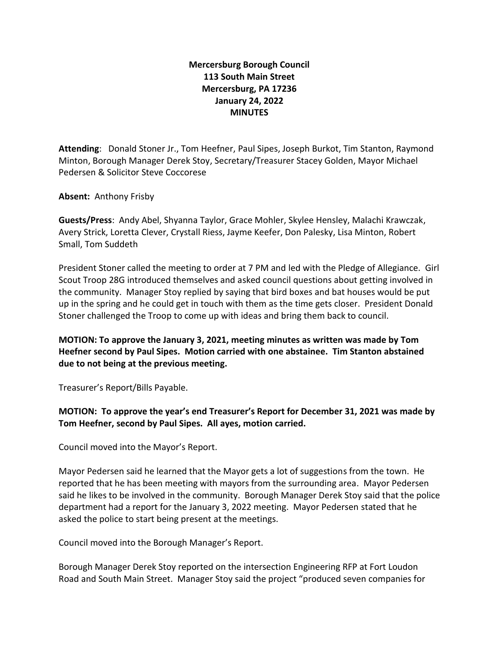## **Mercersburg Borough Council 113 South Main Street Mercersburg, PA 17236 January 24, 2022 MINUTES**

**Attending**: Donald Stoner Jr., Tom Heefner, Paul Sipes, Joseph Burkot, Tim Stanton, Raymond Minton, Borough Manager Derek Stoy, Secretary/Treasurer Stacey Golden, Mayor Michael Pedersen & Solicitor Steve Coccorese

**Absent:** Anthony Frisby

**Guests/Press**: Andy Abel, Shyanna Taylor, Grace Mohler, Skylee Hensley, Malachi Krawczak, Avery Strick, Loretta Clever, Crystall Riess, Jayme Keefer, Don Palesky, Lisa Minton, Robert Small, Tom Suddeth

President Stoner called the meeting to order at 7 PM and led with the Pledge of Allegiance. Girl Scout Troop 28G introduced themselves and asked council questions about getting involved in the community. Manager Stoy replied by saying that bird boxes and bat houses would be put up in the spring and he could get in touch with them as the time gets closer. President Donald Stoner challenged the Troop to come up with ideas and bring them back to council.

**MOTION: To approve the January 3, 2021, meeting minutes as written was made by Tom Heefner second by Paul Sipes. Motion carried with one abstainee. Tim Stanton abstained due to not being at the previous meeting.** 

Treasurer's Report/Bills Payable.

**MOTION: To approve the year's end Treasurer's Report for December 31, 2021 was made by Tom Heefner, second by Paul Sipes. All ayes, motion carried.** 

Council moved into the Mayor's Report.

Mayor Pedersen said he learned that the Mayor gets a lot of suggestions from the town. He reported that he has been meeting with mayors from the surrounding area. Mayor Pedersen said he likes to be involved in the community. Borough Manager Derek Stoy said that the police department had a report for the January 3, 2022 meeting. Mayor Pedersen stated that he asked the police to start being present at the meetings.

Council moved into the Borough Manager's Report.

Borough Manager Derek Stoy reported on the intersection Engineering RFP at Fort Loudon Road and South Main Street. Manager Stoy said the project "produced seven companies for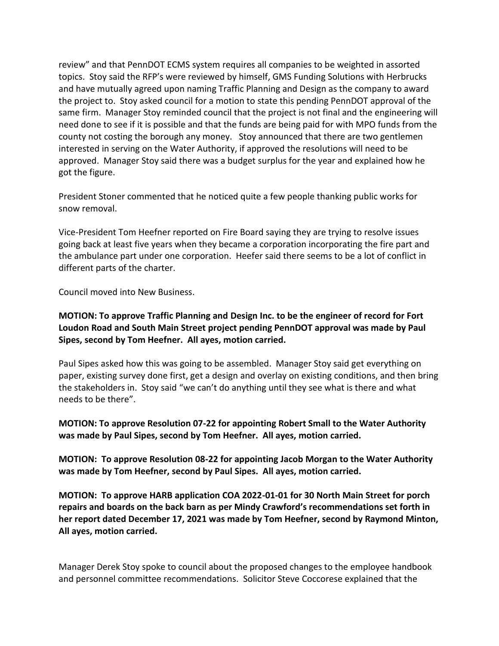review" and that PennDOT ECMS system requires all companies to be weighted in assorted topics. Stoy said the RFP's were reviewed by himself, GMS Funding Solutions with Herbrucks and have mutually agreed upon naming Traffic Planning and Design as the company to award the project to. Stoy asked council for a motion to state this pending PennDOT approval of the same firm. Manager Stoy reminded council that the project is not final and the engineering will need done to see if it is possible and that the funds are being paid for with MPO funds from the county not costing the borough any money. Stoy announced that there are two gentlemen interested in serving on the Water Authority, if approved the resolutions will need to be approved. Manager Stoy said there was a budget surplus for the year and explained how he got the figure.

President Stoner commented that he noticed quite a few people thanking public works for snow removal.

Vice-President Tom Heefner reported on Fire Board saying they are trying to resolve issues going back at least five years when they became a corporation incorporating the fire part and the ambulance part under one corporation. Heefer said there seems to be a lot of conflict in different parts of the charter.

Council moved into New Business.

## **MOTION: To approve Traffic Planning and Design Inc. to be the engineer of record for Fort Loudon Road and South Main Street project pending PennDOT approval was made by Paul Sipes, second by Tom Heefner. All ayes, motion carried.**

Paul Sipes asked how this was going to be assembled. Manager Stoy said get everything on paper, existing survey done first, get a design and overlay on existing conditions, and then bring the stakeholders in. Stoy said "we can't do anything until they see what is there and what needs to be there".

**MOTION: To approve Resolution 07-22 for appointing Robert Small to the Water Authority was made by Paul Sipes, second by Tom Heefner. All ayes, motion carried.**

**MOTION: To approve Resolution 08-22 for appointing Jacob Morgan to the Water Authority was made by Tom Heefner, second by Paul Sipes. All ayes, motion carried.**

**MOTION: To approve HARB application COA 2022-01-01 for 30 North Main Street for porch repairs and boards on the back barn as per Mindy Crawford's recommendations set forth in her report dated December 17, 2021 was made by Tom Heefner, second by Raymond Minton, All ayes, motion carried.**

Manager Derek Stoy spoke to council about the proposed changes to the employee handbook and personnel committee recommendations. Solicitor Steve Coccorese explained that the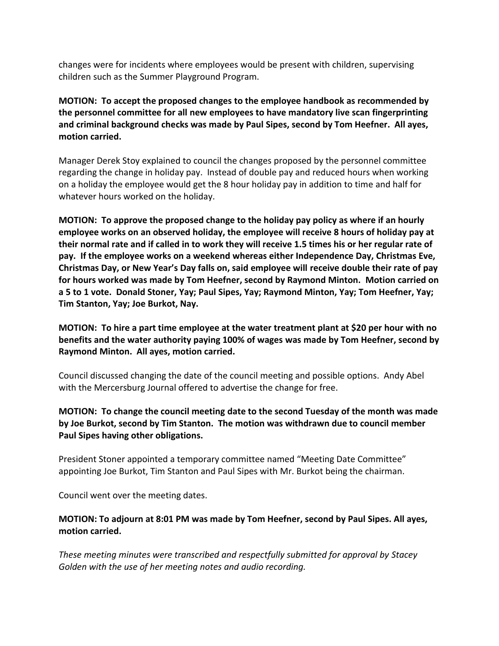changes were for incidents where employees would be present with children, supervising children such as the Summer Playground Program.

**MOTION: To accept the proposed changes to the employee handbook as recommended by the personnel committee for all new employees to have mandatory live scan fingerprinting and criminal background checks was made by Paul Sipes, second by Tom Heefner. All ayes, motion carried.**

Manager Derek Stoy explained to council the changes proposed by the personnel committee regarding the change in holiday pay. Instead of double pay and reduced hours when working on a holiday the employee would get the 8 hour holiday pay in addition to time and half for whatever hours worked on the holiday.

**MOTION: To approve the proposed change to the holiday pay policy as where if an hourly employee works on an observed holiday, the employee will receive 8 hours of holiday pay at their normal rate and if called in to work they will receive 1.5 times his or her regular rate of pay. If the employee works on a weekend whereas either Independence Day, Christmas Eve, Christmas Day, or New Year's Day falls on, said employee will receive double their rate of pay for hours worked was made by Tom Heefner, second by Raymond Minton. Motion carried on a 5 to 1 vote. Donald Stoner, Yay; Paul Sipes, Yay; Raymond Minton, Yay; Tom Heefner, Yay; Tim Stanton, Yay; Joe Burkot, Nay.** 

**MOTION: To hire a part time employee at the water treatment plant at \$20 per hour with no benefits and the water authority paying 100% of wages was made by Tom Heefner, second by Raymond Minton. All ayes, motion carried.** 

Council discussed changing the date of the council meeting and possible options. Andy Abel with the Mercersburg Journal offered to advertise the change for free.

**MOTION: To change the council meeting date to the second Tuesday of the month was made by Joe Burkot, second by Tim Stanton. The motion was withdrawn due to council member Paul Sipes having other obligations.** 

President Stoner appointed a temporary committee named "Meeting Date Committee" appointing Joe Burkot, Tim Stanton and Paul Sipes with Mr. Burkot being the chairman.

Council went over the meeting dates.

## **MOTION: To adjourn at 8:01 PM was made by Tom Heefner, second by Paul Sipes. All ayes, motion carried.**

*These meeting minutes were transcribed and respectfully submitted for approval by Stacey Golden with the use of her meeting notes and audio recording.*